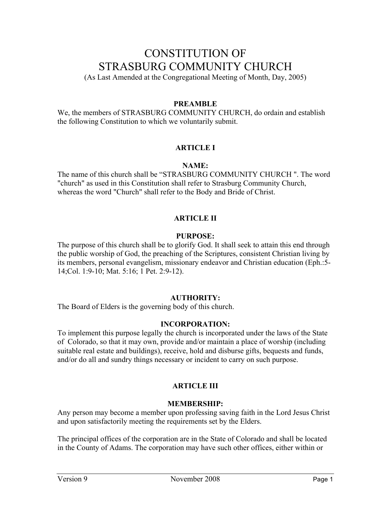# CONSTITUTION OF STRASBURG COMMUNITY CHURCH

(As Last Amended at the Congregational Meeting of Month, Day, 2005)

## **PREAMBLE**

We, the members of STRASBURG COMMUNITY CHURCH, do ordain and establish the following Constitution to which we voluntarily submit.

## **ARTICLE I**

## **NAME:**

The name of this church shall be "STRASBURG COMMUNITY CHURCH ". The word "church" as used in this Constitution shall refer to Strasburg Community Church, whereas the word "Church" shall refer to the Body and Bride of Christ.

## **ARTICLE II**

## **PURPOSE:**

The purpose of this church shall be to glorify God. It shall seek to attain this end through the public worship of God, the preaching of the Scriptures, consistent Christian living by its members, personal evangelism, missionary endeavor and Christian education (Eph.:5- 14;Col. 1:9-10; Mat. 5:16; 1 Pet. 2:9-12).

#### **AUTHORITY:**

The Board of Elders is the governing body of this church.

#### **INCORPORATION:**

To implement this purpose legally the church is incorporated under the laws of the State of Colorado, so that it may own, provide and/or maintain a place of worship (including suitable real estate and buildings), receive, hold and disburse gifts, bequests and funds, and/or do all and sundry things necessary or incident to carry on such purpose.

## **ARTICLE III**

## **MEMBERSHIP:**

Any person may become a member upon professing saving faith in the Lord Jesus Christ and upon satisfactorily meeting the requirements set by the Elders.

The principal offices of the corporation are in the State of Colorado and shall be located in the County of Adams. The corporation may have such other offices, either within or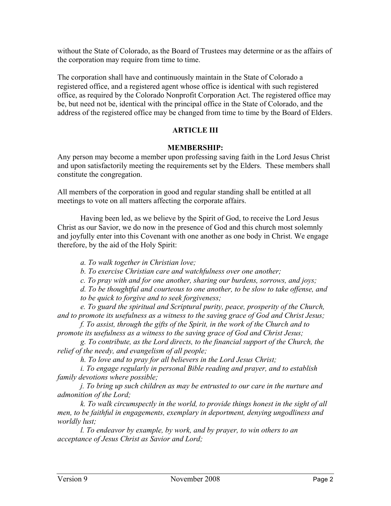without the State of Colorado, as the Board of Trustees may determine or as the affairs of the corporation may require from time to time.

The corporation shall have and continuously maintain in the State of Colorado a registered office, and a registered agent whose office is identical with such registered office, as required by the Colorado Nonprofit Corporation Act. The registered office may be, but need not be, identical with the principal office in the State of Colorado, and the address of the registered office may be changed from time to time by the Board of Elders.

## **ARTICLE III**

#### **MEMBERSHIP:**

Any person may become a member upon professing saving faith in the Lord Jesus Christ and upon satisfactorily meeting the requirements set by the Elders. These members shall constitute the congregation.

All members of the corporation in good and regular standing shall be entitled at all meetings to vote on all matters affecting the corporate affairs.

Having been led, as we believe by the Spirit of God, to receive the Lord Jesus Christ as our Savior, we do now in the presence of God and this church most solemnly and joyfully enter into this Covenant with one another as one body in Christ. We engage therefore, by the aid of the Holy Spirit:

*a. To walk together in Christian love;*

*b. To exercise Christian care and watchfulness over one another;*

*c. To pray with and for one another, sharing our burdens, sorrows, and joys;*

*d. To be thoughtful and courteous to one another, to be slow to take offense, and* 

*to be quick to forgive and to seek forgiveness;*

*e. To guard the spiritual and Scriptural purity, peace, prosperity of the Church, and to promote its usefulness as a witness to the saving grace of God and Christ Jesus;*

*f. To assist, through the gifts of the Spirit, in the work of the Church and to promote its usefulness as a witness to the saving grace of God and Christ Jesus;*

*g. To contribute, as the Lord directs, to the financial support of the Church, the relief of the needy, and evangelism of all people;*

*h. To love and to pray for all believers in the Lord Jesus Christ;*

*i. To engage regularly in personal Bible reading and prayer, and to establish family devotions where possible;*

*j. To bring up such children as may be entrusted to our care in the nurture and admonition of the Lord;*

*k. To walk circumspectly in the world, to provide things honest in the sight of all men, to be faithful in engagements, exemplary in deportment, denying ungodliness and worldly lust;*

*l. To endeavor by example, by work, and by prayer, to win others to an acceptance of Jesus Christ as Savior and Lord;*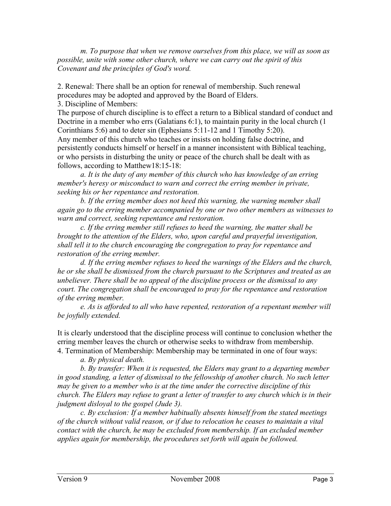*m. To purpose that when we remove ourselves from this place, we will as soon as possible, unite with some other church, where we can carry out the spirit of this Covenant and the principles of God's word.*

2. Renewal: There shall be an option for renewal of membership. Such renewal procedures may be adopted and approved by the Board of Elders.

3. Discipline of Members:

The purpose of church discipline is to effect a return to a Biblical standard of conduct and Doctrine in a member who errs (Galatians 6:1), to maintain purity in the local church (1) Corinthians 5:6) and to deter sin (Ephesians 5:11-12 and 1 Timothy 5:20).

Any member of this church who teaches or insists on holding false doctrine, and persistently conducts himself or herself in a manner inconsistent with Biblical teaching, or who persists in disturbing the unity or peace of the church shall be dealt with as follows, according to Matthew18:15-18:

*a. It is the duty of any member of this church who has knowledge of an erring member's heresy or misconduct to warn and correct the erring member in private, seeking his or her repentance and restoration.*

*b. If the erring member does not heed this warning, the warning member shall again go to the erring member accompanied by one or two other members as witnesses to warn and correct, seeking repentance and restoration.*

*c. If the erring member still refuses to heed the warning, the matter shall be brought to the attention of the Elders, who, upon careful and prayerful investigation, shall tell it to the church encouraging the congregation to pray for repentance and restoration of the erring member.*

*d. If the erring member refuses to heed the warnings of the Elders and the church, he or she shall be dismissed from the church pursuant to the Scriptures and treated as an unbeliever. There shall be no appeal of the discipline process or the dismissal to any court. The congregation shall be encouraged to pray for the repentance and restoration of the erring member.*

*e. As is afforded to all who have repented, restoration of a repentant member will be joyfully extended.*

It is clearly understood that the discipline process will continue to conclusion whether the erring member leaves the church or otherwise seeks to withdraw from membership. 4. Termination of Membership: Membership may be terminated in one of four ways:

*a. By physical death.*

*b. By transfer: When it is requested, the Elders may grant to a departing member in good standing, a letter of dismissal to the fellowship of another church. No such letter may be given to a member who is at the time under the corrective discipline of this church. The Elders may refuse to grant a letter of transfer to any church which is in their judgment disloyal to the gospel (Jude 3).*

*c. By exclusion: If a member habitually absents himself from the stated meetings of the church without valid reason, or if due to relocation he ceases to maintain a vital contact with the church, he may be excluded from membership. If an excluded member applies again for membership, the procedures set forth will again be followed.*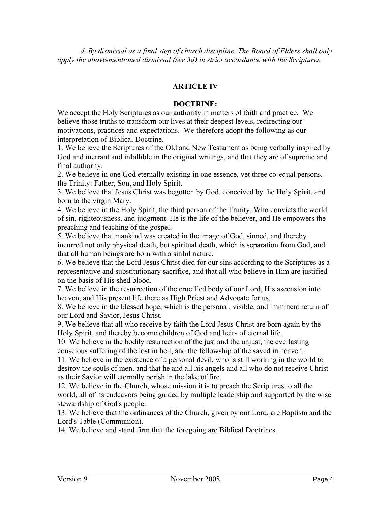*d. By dismissal as a final step of church discipline. The Board of Elders shall only apply the above-mentioned dismissal (see 3d) in strict accordance with the Scriptures.*

## **ARTICLE IV**

#### **DOCTRINE:**

We accept the Holy Scriptures as our authority in matters of faith and practice. We believe those truths to transform our lives at their deepest levels, redirecting our motivations, practices and expectations. We therefore adopt the following as our interpretation of Biblical Doctrine.

1. We believe the Scriptures of the Old and New Testament as being verbally inspired by God and inerrant and infallible in the original writings, and that they are of supreme and final authority.

2. We believe in one God eternally existing in one essence, yet three co-equal persons, the Trinity: Father, Son, and Holy Spirit.

3. We believe that Jesus Christ was begotten by God, conceived by the Holy Spirit, and born to the virgin Mary.

4. We believe in the Holy Spirit, the third person of the Trinity, Who convicts the world of sin, righteousness, and judgment. He is the life of the believer, and He empowers the preaching and teaching of the gospel.

5. We believe that mankind was created in the image of God, sinned, and thereby incurred not only physical death, but spiritual death, which is separation from God, and that all human beings are born with a sinful nature.

6. We believe that the Lord Jesus Christ died for our sins according to the Scriptures as a representative and substitutionary sacrifice, and that all who believe in Him are justified on the basis of His shed blood.

7. We believe in the resurrection of the crucified body of our Lord, His ascension into heaven, and His present life there as High Priest and Advocate for us.

8. We believe in the blessed hope, which is the personal, visible, and imminent return of our Lord and Savior, Jesus Christ.

9. We believe that all who receive by faith the Lord Jesus Christ are born again by the Holy Spirit, and thereby become children of God and heirs of eternal life.

10. We believe in the bodily resurrection of the just and the unjust, the everlasting conscious suffering of the lost in hell, and the fellowship of the saved in heaven.

11. We believe in the existence of a personal devil, who is still working in the world to destroy the souls of men, and that he and all his angels and all who do not receive Christ as their Savior will eternally perish in the lake of fire.

12. We believe in the Church, whose mission it is to preach the Scriptures to all the world, all of its endeavors being guided by multiple leadership and supported by the wise stewardship of God's people.

13. We believe that the ordinances of the Church, given by our Lord, are Baptism and the Lord's Table (Communion).

14. We believe and stand firm that the foregoing are Biblical Doctrines.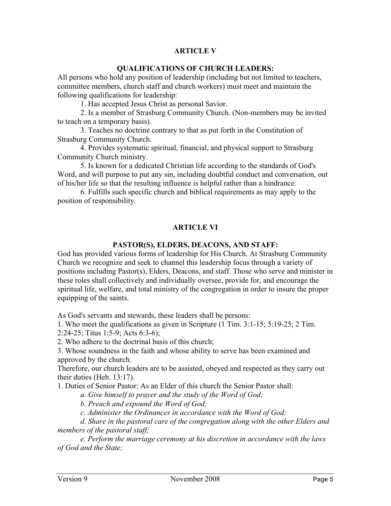# **ARTICLE V**

## **QUALIFICATIONS OF CHURCH LEADERS:**

All persons who hold any position of leadership (including but not limited to teachers, committee members, church staff and church workers) must meet and maintain the following qualifications for leadership:

1. Has accepted Jesus Christ as personal Savior.

2. Is a member of Strasburg Community Church. (Non-members may be invited to teach on a temporary basis).

3. Teaches no doctrine contrary to that as put forth in the Constitution of Strasburg Community Church.

4. Provides systematic spiritual, financial, and physical support to Strasburg Community Church ministry.

5. Is known for a dedicated Christian life according to the standards of God's Word, and will purpose to put any sin, including doubtful conduct and conversation, out of his/her life so that the resulting influence is helpful rather than a hindrance.

6. Fulfills such specific church and biblical requirements as may apply to the position of responsibility.

## **ARTICLE VI**

#### **PASTOR(S), ELDERS, DEACONS, AND STAFF:**

God has provided various forms of leadership for His Church. At Strasburg Community Church we recognize and seek to channel this leadership focus through a variety of positions including Pastor(s), Elders, Deacons, and staff. Those who serve and minister in these roles shall collectively and individually oversee, provide for, and encourage the spiritual life, welfare, and total ministry of the congregation in order to insure the proper equipping of the saints.

As God's servants and stewards, these leaders shall be persons:

1. Who meet the qualifications as given in Scripture (1 Tim. 3:1-15; 5:19-25; 2 Tim. 2:24-25; Titus 1:5-9; Acts 6:3-6);

2. Who adhere to the doctrinal basis of this church;

3. Whose soundness in the faith and whose ability to serve has been examined and approved by the church.

Therefore, our church leaders are to be assisted, obeyed and respected as they carry out their duties (Heb. 13:17).

1. Duties of Senior Pastor: As an Elder of this church the Senior Pastor shall:

*a. Give himself to prayer and the study of the Word of God;*

*b. Preach and expound the Word of God;*

*c. Administer the Ordinances in accordance with the Word of God;*

*d. Share in the pastoral care of the congregation along with the other Elders and members of the pastoral staff;*

*e. Perform the marriage ceremony at his discretion in accordance with the laws of God and the State;*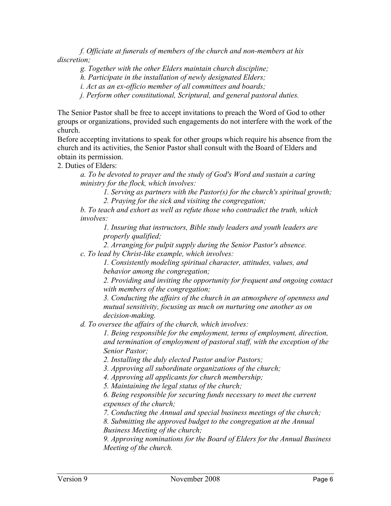*f. Officiate at funerals of members of the church and non-members at his discretion;*

*g. Together with the other Elders maintain church discipline;*

*h. Participate in the installation of newly designated Elders;*

*i. Act as an ex-officio member of all committees and boards;*

*j. Perform other constitutional, Scriptural, and general pastoral duties.*

The Senior Pastor shall be free to accept invitations to preach the Word of God to other groups or organizations, provided such engagements do not interfere with the work of the church.

Before accepting invitations to speak for other groups which require his absence from the church and its activities, the Senior Pastor shall consult with the Board of Elders and obtain its permission.

2. Duties of Elders:

*a. To be devoted to prayer and the study of God's Word and sustain a caring ministry for the flock, which involves:*

*1. Serving as partners with the Pastor(s) for the church's spiritual growth; 2. Praying for the sick and visiting the congregation;*

*b. To teach and exhort as well as refute those who contradict the truth, which involves:*

*1. Insuring that instructors, Bible study leaders and youth leaders are properly qualified;*

*2. Arranging for pulpit supply during the Senior Pastor's absence. c. To lead by Christ-like example, which involves:*

> *1. Consistently modeling spiritual character, attitudes, values, and behavior among the congregation;*

*2. Providing and inviting the opportunity for frequent and ongoing contact with members of the congregation;*

*3. Conducting the affairs of the church in an atmosphere of openness and mutual sensitivity, focusing as much on nurturing one another as on decision-making.*

*d. To oversee the affairs of the church, which involves:*

*1. Being responsible for the employment, terms of employment, direction, and termination of employment of pastoral staff, with the exception of the Senior Pastor;*

*2. Installing the duly elected Pastor and/or Pastors;*

*3. Approving all subordinate organizations of the church;*

*4. Approving all applicants for church membership;*

*5. Maintaining the legal status of the church;*

*6. Being responsible for securing funds necessary to meet the current expenses of the church;*

*7. Conducting the Annual and special business meetings of the church;*

*8. Submitting the approved budget to the congregation at the Annual Business Meeting of the church;*

*9. Approving nominations for the Board of Elders for the Annual Business Meeting of the church.*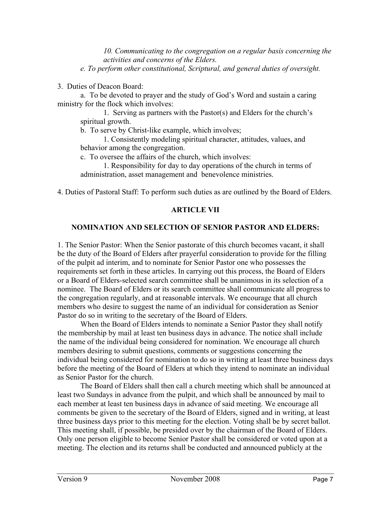*10. Communicating to the congregation on a regular basis concerning the activities and concerns of the Elders.*

*e. To perform other constitutional, Scriptural, and general duties of oversight.*

3. Duties of Deacon Board:

a. To be devoted to prayer and the study of God's Word and sustain a caring ministry for the flock which involves:

1. Serving as partners with the Pastor(s) and Elders for the church's spiritual growth.

b. To serve by Christ-like example, which involves;

1. Consistently modeling spiritual character, attitudes, values, and behavior among the congregation.

c. To oversee the affairs of the church, which involves:

1. Responsibility for day to day operations of the church in terms of administration, asset management and benevolence ministries.

4. Duties of Pastoral Staff: To perform such duties as are outlined by the Board of Elders.

## **ARTICLE VII**

## **NOMINATION AND SELECTION OF SENIOR PASTOR AND ELDERS:**

1. The Senior Pastor: When the Senior pastorate of this church becomes vacant, it shall be the duty of the Board of Elders after prayerful consideration to provide for the filling of the pulpit ad interim, and to nominate for Senior Pastor one who possesses the requirements set forth in these articles. In carrying out this process, the Board of Elders or a Board of Elders-selected search committee shall be unanimous in its selection of a nominee. The Board of Elders or its search committee shall communicate all progress to the congregation regularly, and at reasonable intervals. We encourage that all church members who desire to suggest the name of an individual for consideration as Senior Pastor do so in writing to the secretary of the Board of Elders.

When the Board of Elders intends to nominate a Senior Pastor they shall notify the membership by mail at least ten business days in advance. The notice shall include the name of the individual being considered for nomination. We encourage all church members desiring to submit questions, comments or suggestions concerning the individual being considered for nomination to do so in writing at least three business days before the meeting of the Board of Elders at which they intend to nominate an individual as Senior Pastor for the church.

The Board of Elders shall then call a church meeting which shall be announced at least two Sundays in advance from the pulpit, and which shall be announced by mail to each member at least ten business days in advance of said meeting. We encourage all comments be given to the secretary of the Board of Elders, signed and in writing, at least three business days prior to this meeting for the election. Voting shall be by secret ballot. This meeting shall, if possible, be presided over by the chairman of the Board of Elders. Only one person eligible to become Senior Pastor shall be considered or voted upon at a meeting. The election and its returns shall be conducted and announced publicly at the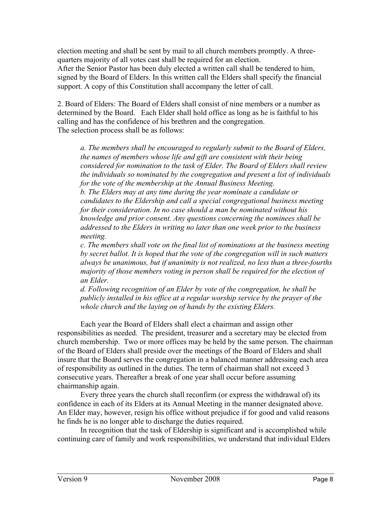election meeting and shall be sent by mail to all church members promptly. A threequarters majority of all votes cast shall be required for an election. After the Senior Pastor has been duly elected a written call shall be tendered to him, signed by the Board of Elders. In this written call the Elders shall specify the financial support. A copy of this Constitution shall accompany the letter of call.

2. Board of Elders: The Board of Elders shall consist of nine members or a number as determined by the Board. Each Elder shall hold office as long as he is faithful to his calling and has the confidence of his brethren and the congregation. The selection process shall be as follows:

*a. The members shall be encouraged to regularly submit to the Board of Elders, the names of members whose life and gift are consistent with their being considered for nomination to the task of Elder. The Board of Elders shall review the individuals so nominated by the congregation and present a list of individuals for the vote of the membership at the Annual Business Meeting.*

*b. The Elders may at any time during the year nominate a candidate or candidates to the Eldership and call a special congregational business meeting for their consideration. In no case should a man be nominated without his knowledge and prior consent. Any questions concerning the nominees shall be addressed to the Elders in writing no later than one week prior to the business meeting.*

*c. The members shall vote on the final list of nominations at the business meeting by secret ballot. It is hoped that the vote of the congregation will in such matters always be unanimous, but if unanimity is not realized, no less than a three-fourths majority of those members voting in person shall be required for the election of an Elder.*

*d. Following recognition of an Elder by vote of the congregation, he shall be publicly installed in his office at a regular worship service by the prayer of the whole church and the laying on of hands by the existing Elders.*

Each year the Board of Elders shall elect a chairman and assign other responsibilities as needed. The president, treasurer and a secretary may be elected from church membership. Two or more offices may be held by the same person. The chairman of the Board of Elders shall preside over the meetings of the Board of Elders and shall insure that the Board serves the congregation in a balanced manner addressing each area of responsibility as outlined in the duties. The term of chairman shall not exceed 3 consecutive years. Thereafter a break of one year shall occur before assuming chairmanship again.

Every three years the church shall reconfirm (or express the withdrawal of) its confidence in each of its Elders at its Annual Meeting in the manner designated above. An Elder may, however, resign his office without prejudice if for good and valid reasons he finds he is no longer able to discharge the duties required.

In recognition that the task of Eldership is significant and is accomplished while continuing care of family and work responsibilities, we understand that individual Elders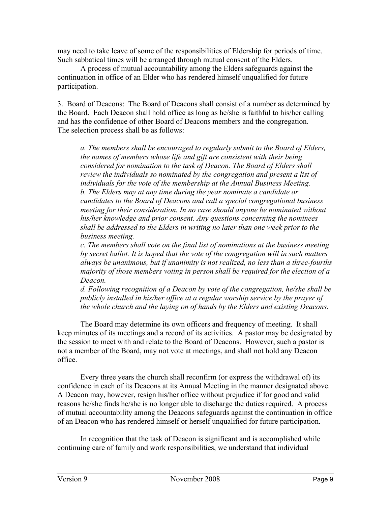may need to take leave of some of the responsibilities of Eldership for periods of time. Such sabbatical times will be arranged through mutual consent of the Elders.

A process of mutual accountability among the Elders safeguards against the continuation in office of an Elder who has rendered himself unqualified for future participation.

3. Board of Deacons: The Board of Deacons shall consist of a number as determined by the Board. Each Deacon shall hold office as long as he/she is faithful to his/her calling and has the confidence of other Board of Deacons members and the congregation. The selection process shall be as follows:

*a. The members shall be encouraged to regularly submit to the Board of Elders, the names of members whose life and gift are consistent with their being considered for nomination to the task of Deacon. The Board of Elders shall review the individuals so nominated by the congregation and present a list of individuals for the vote of the membership at the Annual Business Meeting. b. The Elders may at any time during the year nominate a candidate or candidates to the Board of Deacons and call a special congregational business meeting for their consideration. In no case should anyone be nominated without his/her knowledge and prior consent. Any questions concerning the nominees shall be addressed to the Elders in writing no later than one week prior to the business meeting.*

*c. The members shall vote on the final list of nominations at the business meeting by secret ballot. It is hoped that the vote of the congregation will in such matters always be unanimous, but if unanimity is not realized, no less than a three-fourths majority of those members voting in person shall be required for the election of a Deacon.*

*d. Following recognition of a Deacon by vote of the congregation, he/she shall be publicly installed in his/her office at a regular worship service by the prayer of the whole church and the laying on of hands by the Elders and existing Deacons.*

The Board may determine its own officers and frequency of meeting. It shall keep minutes of its meetings and a record of its activities. A pastor may be designated by the session to meet with and relate to the Board of Deacons. However, such a pastor is not a member of the Board, may not vote at meetings, and shall not hold any Deacon office.

Every three years the church shall reconfirm (or express the withdrawal of) its confidence in each of its Deacons at its Annual Meeting in the manner designated above. A Deacon may, however, resign his/her office without prejudice if for good and valid reasons he/she finds he/she is no longer able to discharge the duties required. A process of mutual accountability among the Deacons safeguards against the continuation in office of an Deacon who has rendered himself or herself unqualified for future participation.

In recognition that the task of Deacon is significant and is accomplished while continuing care of family and work responsibilities, we understand that individual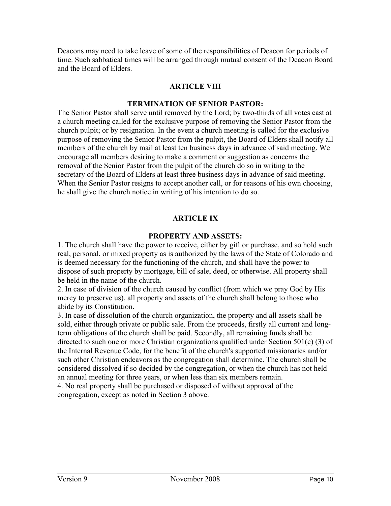Deacons may need to take leave of some of the responsibilities of Deacon for periods of time. Such sabbatical times will be arranged through mutual consent of the Deacon Board and the Board of Elders.

#### **ARTICLE VIII**

#### **TERMINATION OF SENIOR PASTOR:**

The Senior Pastor shall serve until removed by the Lord; by two-thirds of all votes cast at a church meeting called for the exclusive purpose of removing the Senior Pastor from the church pulpit; or by resignation. In the event a church meeting is called for the exclusive purpose of removing the Senior Pastor from the pulpit, the Board of Elders shall notify all members of the church by mail at least ten business days in advance of said meeting. We encourage all members desiring to make a comment or suggestion as concerns the removal of the Senior Pastor from the pulpit of the church do so in writing to the secretary of the Board of Elders at least three business days in advance of said meeting. When the Senior Pastor resigns to accept another call, or for reasons of his own choosing, he shall give the church notice in writing of his intention to do so.

## **ARTICLE IX**

## **PROPERTY AND ASSETS:**

1. The church shall have the power to receive, either by gift or purchase, and so hold such real, personal, or mixed property as is authorized by the laws of the State of Colorado and is deemed necessary for the functioning of the church, and shall have the power to dispose of such property by mortgage, bill of sale, deed, or otherwise. All property shall be held in the name of the church.

2. In case of division of the church caused by conflict (from which we pray God by His mercy to preserve us), all property and assets of the church shall belong to those who abide by its Constitution.

3. In case of dissolution of the church organization, the property and all assets shall be sold, either through private or public sale. From the proceeds, firstly all current and longterm obligations of the church shall be paid. Secondly, all remaining funds shall be directed to such one or more Christian organizations qualified under Section 501(c) (3) of the Internal Revenue Code, for the benefit of the church's supported missionaries and/or such other Christian endeavors as the congregation shall determine. The church shall be considered dissolved if so decided by the congregation, or when the church has not held an annual meeting for three years, or when less than six members remain.

4. No real property shall be purchased or disposed of without approval of the congregation, except as noted in Section 3 above.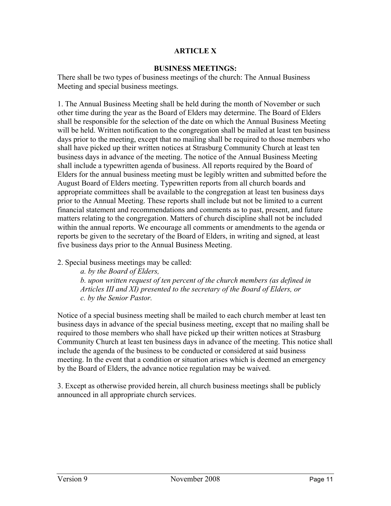# **ARTICLE X**

#### **BUSINESS MEETINGS:**

There shall be two types of business meetings of the church: The Annual Business Meeting and special business meetings.

1. The Annual Business Meeting shall be held during the month of November or such other time during the year as the Board of Elders may determine. The Board of Elders shall be responsible for the selection of the date on which the Annual Business Meeting will be held. Written notification to the congregation shall be mailed at least ten business days prior to the meeting, except that no mailing shall be required to those members who shall have picked up their written notices at Strasburg Community Church at least ten business days in advance of the meeting. The notice of the Annual Business Meeting shall include a typewritten agenda of business. All reports required by the Board of Elders for the annual business meeting must be legibly written and submitted before the August Board of Elders meeting. Typewritten reports from all church boards and appropriate committees shall be available to the congregation at least ten business days prior to the Annual Meeting. These reports shall include but not be limited to a current financial statement and recommendations and comments as to past, present, and future matters relating to the congregation. Matters of church discipline shall not be included within the annual reports. We encourage all comments or amendments to the agenda or reports be given to the secretary of the Board of Elders, in writing and signed, at least five business days prior to the Annual Business Meeting.

2. Special business meetings may be called:

*a. by the Board of Elders, b. upon written request of ten percent of the church members (as defined in Articles III and XI) presented to the secretary of the Board of Elders, or c. by the Senior Pastor.*

Notice of a special business meeting shall be mailed to each church member at least ten business days in advance of the special business meeting, except that no mailing shall be required to those members who shall have picked up their written notices at Strasburg Community Church at least ten business days in advance of the meeting. This notice shall include the agenda of the business to be conducted or considered at said business meeting. In the event that a condition or situation arises which is deemed an emergency by the Board of Elders, the advance notice regulation may be waived.

3. Except as otherwise provided herein, all church business meetings shall be publicly announced in all appropriate church services.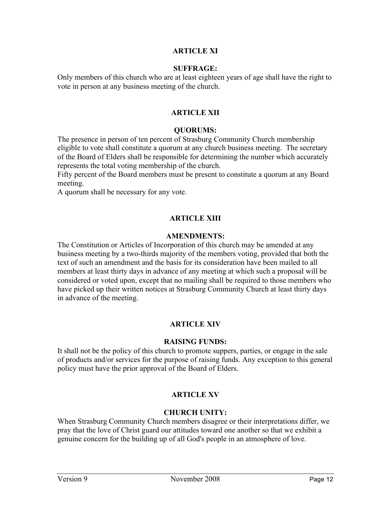## **ARTICLE XI**

#### **SUFFRAGE:**

Only members of this church who are at least eighteen years of age shall have the right to vote in person at any business meeting of the church.

## **ARTICLE XII**

#### **QUORUMS:**

The presence in person of ten percent of Strasburg Community Church membership eligible to vote shall constitute a quorum at any church business meeting. The secretary of the Board of Elders shall be responsible for determining the number which accurately represents the total voting membership of the church.

Fifty percent of the Board members must be present to constitute a quorum at any Board meeting.

A quorum shall be necessary for any vote.

## **ARTICLE XIII**

#### **AMENDMENTS:**

The Constitution or Articles of Incorporation of this church may be amended at any business meeting by a two-thirds majority of the members voting, provided that both the text of such an amendment and the basis for its consideration have been mailed to all members at least thirty days in advance of any meeting at which such a proposal will be considered or voted upon, except that no mailing shall be required to those members who have picked up their written notices at Strasburg Community Church at least thirty days in advance of the meeting.

#### **ARTICLE XIV**

#### **RAISING FUNDS:**

It shall not be the policy of this church to promote suppers, parties, or engage in the sale of products and/or services for the purpose of raising funds. Any exception to this general policy must have the prior approval of the Board of Elders.

#### **ARTICLE XV**

#### **CHURCH UNITY:**

When Strasburg Community Church members disagree or their interpretations differ, we pray that the love of Christ guard our attitudes toward one another so that we exhibit a genuine concern for the building up of all God's people in an atmosphere of love.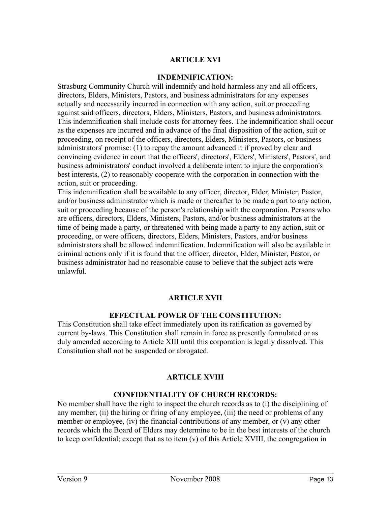# **ARTICLE XVI**

#### **INDEMNIFICATION:**

Strasburg Community Church will indemnify and hold harmless any and all officers, directors, Elders, Ministers, Pastors, and business administrators for any expenses actually and necessarily incurred in connection with any action, suit or proceeding against said officers, directors, Elders, Ministers, Pastors, and business administrators. This indemnification shall include costs for attorney fees. The indemnification shall occur as the expenses are incurred and in advance of the final disposition of the action, suit or proceeding, on receipt of the officers, directors, Elders, Ministers, Pastors, or business administrators' promise: (1) to repay the amount advanced it if proved by clear and convincing evidence in court that the officers', directors', Elders', Ministers', Pastors', and business administrators' conduct involved a deliberate intent to injure the corporation's best interests, (2) to reasonably cooperate with the corporation in connection with the action, suit or proceeding.

This indemnification shall be available to any officer, director, Elder, Minister, Pastor, and/or business administrator which is made or thereafter to be made a part to any action, suit or proceeding because of the person's relationship with the corporation. Persons who are officers, directors, Elders, Ministers, Pastors, and/or business administrators at the time of being made a party, or threatened with being made a party to any action, suit or proceeding, or were officers, directors, Elders, Ministers, Pastors, and/or business administrators shall be allowed indemnification. Indemnification will also be available in criminal actions only if it is found that the officer, director, Elder, Minister, Pastor, or business administrator had no reasonable cause to believe that the subject acts were unlawful.

## **ARTICLE XVII**

#### **EFFECTUAL POWER OF THE CONSTITUTION:**

This Constitution shall take effect immediately upon its ratification as governed by current by-laws. This Constitution shall remain in force as presently formulated or as duly amended according to Article XIII until this corporation is legally dissolved. This Constitution shall not be suspended or abrogated.

## **ARTICLE XVIII**

#### **CONFIDENTIALITY OF CHURCH RECORDS:**

No member shall have the right to inspect the church records as to (i) the disciplining of any member, (ii) the hiring or firing of any employee, (iii) the need or problems of any member or employee, (iv) the financial contributions of any member, or (v) any other records which the Board of Elders may determine to be in the best interests of the church to keep confidential; except that as to item (v) of this Article XVIII, the congregation in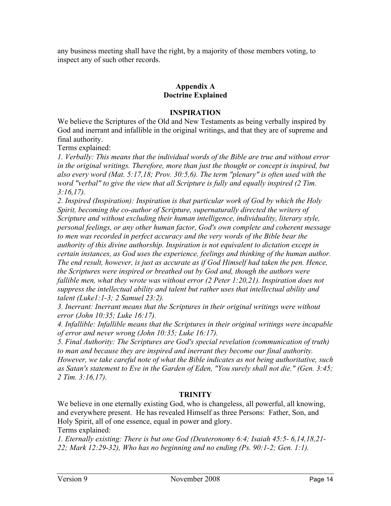any business meeting shall have the right, by a majority of those members voting, to inspect any of such other records.

# **Appendix A Doctrine Explained**

#### **INSPIRATION**

We believe the Scriptures of the Old and New Testaments as being verbally inspired by God and inerrant and infallible in the original writings, and that they are of supreme and final authority.

Terms explained:

*1. Verbally: This means that the individual words of the Bible are true and without error in the original writings. Therefore, more than just the thought or concept is inspired, but also every word (Mat. 5:17,18; Prov. 30:5,6). The term "plenary" is often used with the word "verbal" to give the view that all Scripture is fully and equally inspired (2 Tim. 3:16,17).*

*2. Inspired (Inspiration): Inspiration is that particular work of God by which the Holy Spirit, becoming the co-author of Scripture, supernaturally directed the writers of Scripture and without excluding their human intelligence, individuality, literary style, personal feelings, or any other human factor, God's own complete and coherent message to men was recorded in perfect accuracy and the very words of the Bible bear the authority of this divine authorship. Inspiration is not equivalent to dictation except in certain instances, as God uses the experience, feelings and thinking of the human author. The end result, however, is just as accurate as if God Himself had taken the pen. Hence, the Scriptures were inspired or breathed out by God and, though the authors were fallible men, what they wrote was without error (2 Peter 1:20,21). Inspiration does not suppress the intellectual ability and talent but rather uses that intellectual ability and talent (Luke1:1-3; 2 Samuel 23:2).*

*3. Inerrant: Inerrant means that the Scriptures in their original writings were without error (John 10:35; Luke 16:17).*

*4. Infallible: Infallible means that the Scriptures in their original writings were incapable of error and never wrong (John 10:35; Luke 16:17).*

*5. Final Authority: The Scriptures are God's special revelation (communication of truth) to man and because they are inspired and inerrant they become our final authority. However, we take careful note of what the Bible indicates as not being authoritative, such as Satan's statement to Eve in the Garden of Eden, "You surely shall not die." (Gen. 3:45; 2 Tim. 3:16,17).*

## **TRINITY**

We believe in one eternally existing God, who is changeless, all powerful, all knowing, and everywhere present. He has revealed Himself as three Persons: Father, Son, and Holy Spirit, all of one essence, equal in power and glory.

Terms explained:

*1. Eternally existing: There is but one God (Deuteronomy 6:4; Isaiah 45:5- 6,14,18,21- 22; Mark 12:29-32), Who has no beginning and no ending (Ps. 90:1-2; Gen. 1:1).*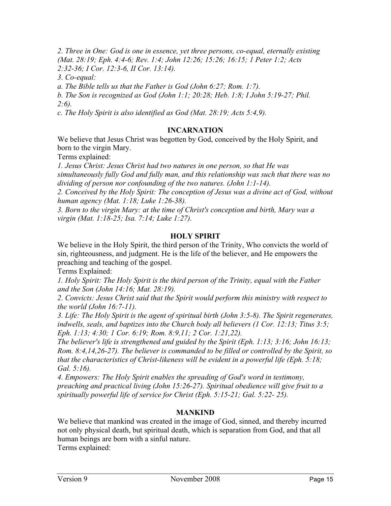*2. Three in One: God is one in essence, yet three persons, co-equal, eternally existing (Mat. 28:19; Eph. 4:4-6; Rev. 1:4; John 12:26; 15:26; 16:15; 1 Peter 1:2; Acts 2:32-36; I Cor. 12:3-6, II Cor. 13:14).*

*3. Co-equal:*

*a. The Bible tells us that the Father is God (John 6:27; Rom. 1:7).*

*b. The Son is recognized as God (John 1:1; 20:28; Heb. 1:8; I John 5:19-27; Phil. 2:6).*

*c. The Holy Spirit is also identified as God (Mat. 28:19; Acts 5:4,9).*

## **INCARNATION**

We believe that Jesus Christ was begotten by God, conceived by the Holy Spirit, and born to the virgin Mary.

Terms explained:

*1. Jesus Christ: Jesus Christ had two natures in one person, so that He was simultaneously fully God and fully man, and this relationship was such that there was no dividing of person nor confounding of the two natures. (John 1:1-14).*

*2. Conceived by the Holy Spirit: The conception of Jesus was a divine act of God, without human agency (Mat. 1:18; Luke 1:26-38).*

*3. Born to the virgin Mary: at the time of Christ's conception and birth, Mary was a virgin (Mat. 1:18-25; Isa. 7:14; Luke 1:27).*

#### **HOLY SPIRIT**

We believe in the Holy Spirit, the third person of the Trinity, Who convicts the world of sin, righteousness, and judgment. He is the life of the believer, and He empowers the preaching and teaching of the gospel.

Terms Explained:

*1. Holy Spirit: The Holy Spirit is the third person of the Trinity, equal with the Father and the Son (John 14:16; Mat. 28:19).*

*2. Convicts: Jesus Christ said that the Spirit would perform this ministry with respect to the world (John 16:7-11).*

*3. Life: The Holy Spirit is the agent of spiritual birth (John 3:5-8). The Spirit regenerates, indwells, seals, and baptizes into the Church body all believers (1 Cor. 12:13; Titus 3:5; Eph. 1:13; 4:30; 1 Cor. 6:19; Rom. 8:9,11; 2 Cor. 1:21,22).*

*The believer's life is strengthened and guided by the Spirit (Eph. 1:13; 3:16; John 16:13; Rom. 8:4,14,26-27). The believer is commanded to be filled or controlled by the Spirit, so that the characteristics of Christ-likeness will be evident in a powerful life (Eph. 5:18; Gal. 5:16).*

*4. Empowers: The Holy Spirit enables the spreading of God's word in testimony, preaching and practical living (John 15:26-27). Spiritual obedience will give fruit to a spiritually powerful life of service for Christ (Eph. 5:15-21; Gal. 5:22- 25).*

## **MANKIND**

We believe that mankind was created in the image of God, sinned, and thereby incurred not only physical death, but spiritual death, which is separation from God, and that all human beings are born with a sinful nature.

Terms explained: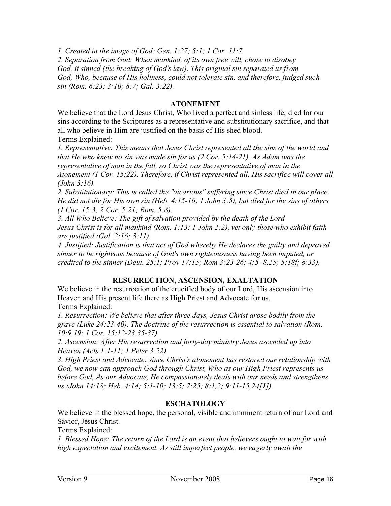*1. Created in the image of God: Gen. 1:27; 5:1; 1 Cor. 11:7.*

*2. Separation from God: When mankind, of its own free will, chose to disobey God, it sinned (the breaking of God's law). This original sin separated us from God, Who, because of His holiness, could not tolerate sin, and therefore, judged such sin (Rom. 6:23; 3:10; 8:7; Gal. 3:22).*

#### **ATONEMENT**

We believe that the Lord Jesus Christ, Who lived a perfect and sinless life, died for our sins according to the Scriptures as a representative and substitutionary sacrifice, and that all who believe in Him are justified on the basis of His shed blood. Terms Explained:

*1. Representative: This means that Jesus Christ represented all the sins of the world and that He who knew no sin was made sin for us (2 Cor. 5:14-21). As Adam was the representative of man in the fall, so Christ was the representative of man in the Atonement (1 Cor. 15:22). Therefore, if Christ represented all, His sacrifice will cover all (John 3:16).*

*2. Substitutionary: This is called the "vicarious" suffering since Christ died in our place. He did not die for His own sin (Heb. 4:15-16; 1 John 3:5), but died for the sins of others (1 Cor. 15:3; 2 Cor. 5:21; Rom. 5:8).*

*3. All Who Believe: The gift of salvation provided by the death of the Lord Jesus Christ is for all mankind (Rom. 1:13; 1 John 2:2), yet only those who exhibit faith are justified (Gal. 2:16; 3:11).*

*4. Justified: Justification is that act of God whereby He declares the guilty and depraved sinner to be righteous because of God's own righteousness having been imputed, or credited to the sinner (Deut. 25:1; Prov 17:15; Rom 3:23-26; 4:5- 8,25; 5:18f; 8:33).*

## **RESURRECTION, ASCENSION, EXALTATION**

We believe in the resurrection of the crucified body of our Lord, His ascension into Heaven and His present life there as High Priest and Advocate for us. Terms Explained:

*1. Resurrection: We believe that after three days, Jesus Christ arose bodily from the grave (Luke 24:23-40). The doctrine of the resurrection is essential to salvation (Rom. 10:9,19; 1 Cor. 15:12-23,35-37).*

*2. Ascension: After His resurrection and forty-day ministry Jesus ascended up into Heaven (Acts 1:1-11; 1 Peter 3:22).*

*3. High Priest and Advocate: since Christ's atonement has restored our relationship with God, we now can approach God through Christ, Who as our High Priest represents us before God, As our Advocate, He compassionately deals with our needs and strengthens us (John 14:18; Heb. 4:14; 5:1-10; 13:5; 7:25; 8:1,2; 9:11-15,24[1]).*

## **ESCHATOLOGY**

We believe in the blessed hope, the personal, visible and imminent return of our Lord and Savior, Jesus Christ.

Terms Explained:

*1. Blessed Hope: The return of the Lord is an event that believers ought to wait for with high expectation and excitement. As still imperfect people, we eagerly await the*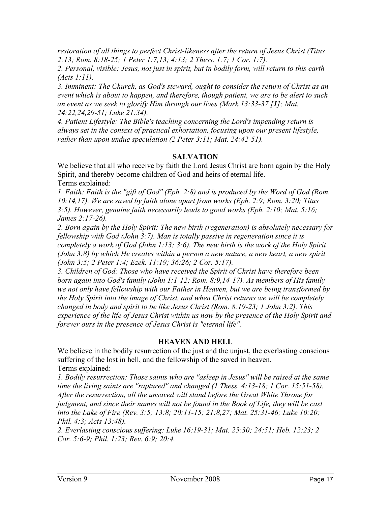*restoration of all things to perfect Christ-likeness after the return of Jesus Christ (Titus 2:13; Rom. 8:18-25; 1 Peter 1:7,13; 4:13; 2 Thess. 1:7; 1 Cor. 1:7).*

*2. Personal, visible: Jesus, not just in spirit, but in bodily form, will return to this earth (Acts 1:11).*

*3. Imminent: The Church, as God's steward, ought to consider the return of Christ as an event which is about to happen, and therefore, though patient, we are to be alert to such an event as we seek to glorify Him through our lives (Mark 13:33-37 [1]; Mat. 24:22,24,29-51; Luke 21:34).*

*4. Patient Lifestyle: The Bible's teaching concerning the Lord's impending return is always set in the context of practical exhortation, focusing upon our present lifestyle, rather than upon undue speculation (2 Peter 3:11; Mat. 24:42-51).*

# **SALVATION**

We believe that all who receive by faith the Lord Jesus Christ are born again by the Holy Spirit, and thereby become children of God and heirs of eternal life. Terms explained:

*1. Faith: Faith is the "gift of God" (Eph. 2:8) and is produced by the Word of God (Rom. 10:14,17). We are saved by faith alone apart from works (Eph. 2:9; Rom. 3:20; Titus 3:5). However, genuine faith necessarily leads to good works (Eph. 2:10; Mat. 5:16; James 2:17-26).*

*2. Born again by the Holy Spirit: The new birth (regeneration) is absolutely necessary for fellowship with God (John 3:7). Man is totally passive in regeneration since it is completely a work of God (John 1:13; 3:6). The new birth is the work of the Holy Spirit (John 3:8) by which He creates within a person a new nature, a new heart, a new spirit (John 3:5; 2 Peter 1:4; Ezek. 11:19; 36:26; 2 Cor. 5:17).*

*3. Children of God: Those who have received the Spirit of Christ have therefore been born again into God's family (John 1:1-12; Rom. 8:9,14-17). As members of His family we not only have fellowship with our Father in Heaven, but we are being transformed by the Holy Spirit into the image of Christ, and when Christ returns we will be completely changed in body and spirit to be like Jesus Christ (Rom. 8:19-23; 1 John 3:2). This experience of the life of Jesus Christ within us now by the presence of the Holy Spirit and forever ours in the presence of Jesus Christ is "eternal life".*

## **HEAVEN AND HELL**

We believe in the bodily resurrection of the just and the unjust, the everlasting conscious suffering of the lost in hell, and the fellowship of the saved in heaven. Terms explained:

*1. Bodily resurrection: Those saints who are "asleep in Jesus" will be raised at the same time the living saints are "raptured" and changed (1 Thess. 4:13-18; 1 Cor. 15:51-58). After the resurrection, all the unsaved will stand before the Great White Throne for judgment, and since their names will not be found in the Book of Life, they will be cast into the Lake of Fire (Rev. 3:5; 13:8; 20:11-15; 21:8,27; Mat. 25:31-46; Luke 10:20; Phil. 4:3; Acts 13:48).*

*2. Everlasting conscious suffering: Luke 16:19-31; Mat. 25:30; 24:51; Heb. 12:23; 2 Cor. 5:6-9; Phil. 1:23; Rev. 6:9; 20:4.*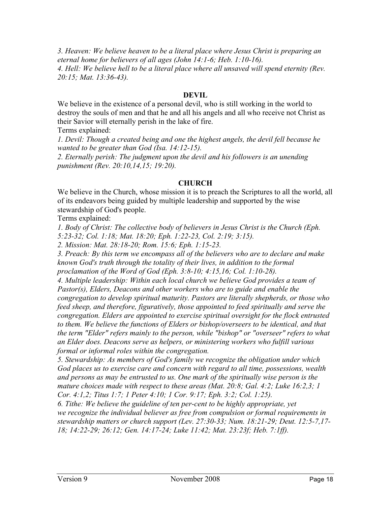*3. Heaven: We believe heaven to be a literal place where Jesus Christ is preparing an eternal home for believers of all ages (John 14:1-6; Heb. 1:10-16). 4. Hell: We believe hell to be a literal place where all unsaved will spend eternity (Rev. 20:15; Mat. 13:36-43).*

#### **DEVIL**

We believe in the existence of a personal devil, who is still working in the world to destroy the souls of men and that he and all his angels and all who receive not Christ as their Savior will eternally perish in the lake of fire.

Terms explained:

*1. Devil: Though a created being and one the highest angels, the devil fell because he wanted to be greater than God (Isa. 14:12-15).*

*2. Eternally perish: The judgment upon the devil and his followers is an unending punishment (Rev. 20:10,14,15; 19:20).*

#### **CHURCH**

We believe in the Church, whose mission it is to preach the Scriptures to all the world, all of its endeavors being guided by multiple leadership and supported by the wise stewardship of God's people.

Terms explained:

*1. Body of Christ: The collective body of believers in Jesus Christ is the Church (Eph. 5:23-32; Col. 1:18; Mat. 18:20; Eph. 1:22-23, Col. 2:19; 3:15).*

*2. Mission: Mat. 28:18-20; Rom. 15:6; Eph. 1:15-23.*

*3. Preach: By this term we encompass all of the believers who are to declare and make known God's truth through the totality of their lives, in addition to the formal proclamation of the Word of God (Eph. 3:8-10; 4:15,16; Col. 1:10-28).*

*4. Multiple leadership: Within each local church we believe God provides a team of Pastor(s), Elders, Deacons and other workers who are to guide and enable the congregation to develop spiritual maturity. Pastors are literally shepherds, or those who feed sheep, and therefore, figuratively, those appointed to feed spiritually and serve the congregation. Elders are appointed to exercise spiritual oversight for the flock entrusted to them. We believe the functions of Elders or bishop/overseers to be identical, and that the term "Elder" refers mainly to the person, while "bishop" or "overseer" refers to what an Elder does. Deacons serve as helpers, or ministering workers who fulfill various formal or informal roles within the congregation.*

*5. Stewardship: As members of God's family we recognize the obligation under which God places us to exercise care and concern with regard to all time, possessions, wealth and persons as may be entrusted to us. One mark of the spiritually wise person is the mature choices made with respect to these areas (Mat. 20:8; Gal. 4:2; Luke 16:2,3; 1 Cor. 4:1,2; Titus 1:7; 1 Peter 4:10; 1 Cor. 9:17; Eph. 3:2; Col. 1:25).*

*6. Tithe: We believe the guideline of ten per-cent to be highly appropriate, yet we recognize the individual believer as free from compulsion or formal requirements in stewardship matters or church support (Lev. 27:30-33; Num. 18:21-29; Deut. 12:5-7,17- 18; 14:22-29; 26:12; Gen. 14:17-24; Luke 11:42; Mat. 23:23f; Heb. 7:1ff).*